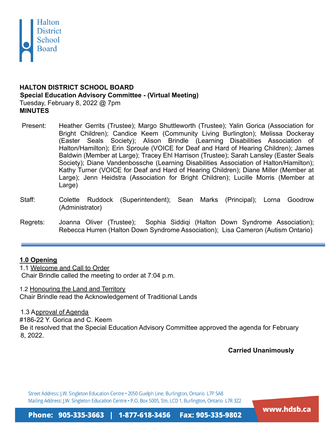

## **HALTON DISTRICT SCHOOL BOARD Special Education Advisory Committee - (Virtual Meeting)** Tuesday, February 8, 2022 @ 7pm **MINUTES**

- Present: Heather Gerrits (Trustee); Margo Shuttleworth (Trustee); Yalin Gorica (Association for Bright Children); Candice Keem (Community Living Burlington); Melissa Dockeray (Easter Seals Society); Alison Brindle (Learning Disabilities Association of Halton/Hamilton); Erin Sproule (VOICE for Deaf and Hard of Hearing Children); James Baldwin (Member at Large); Tracey Ehl Harrison (Trustee); Sarah Lansley (Easter Seals Society); Diane Vandenbossche (Learning Disabilities Association of Halton/Hamilton); Kathy Turner (VOICE for Deaf and Hard of Hearing Children); Diane Miller (Member at Large); Jenn Heidstra (Association for Bright Children); Lucille Morris (Member at Large)
- Staff: Colette Ruddock (Superintendent); Sean Marks (Principal); Lorna Goodrow (Administrator)
- Regrets: Joanna Oliver (Trustee); Sophia Siddiqi (Halton Down Syndrome Association); Rebecca Hurren (Halton Down Syndrome Association); Lisa Cameron (Autism Ontario)

# **1.0 Opening**

1.1 Welcome and Call to Order Chair Brindle called the meeting to order at 7:04 p.m.

1.2 Honouring the Land and Territory Chair Brindle read the Acknowledgement of Traditional Lands

1.3 Approval of Agenda

#186-22 Y. Gorica and C. Keem Be it resolved that the Special Education Advisory Committee approved the agenda for February 8, 2022.

**Carried Unanimously**

Street Address: J.W. Singleton Education Centre . 2050 Guelph Line, Burlington, Ontario L7P 5A8 Mailing Address: J.W. Singleton Education Centre . P.O. Box 5005, Stn. LCD 1, Burlington, Ontario L7R 3Z2

www.hdsb.ca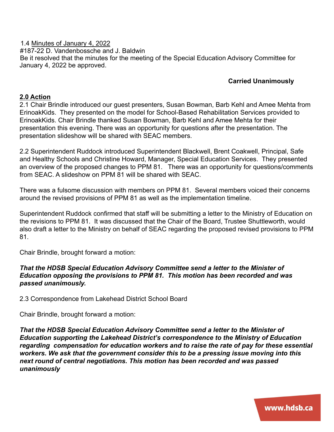1.4 Minutes of January 4, 2022 #187-22 D. Vandenbossche and J. Baldwin Be it resolved that the minutes for the meeting of the Special Education Advisory Committee for January 4, 2022 be approved.

#### **Carried Unanimously**

#### **2.0 Action**

2.1 Chair Brindle introduced our guest presenters, Susan Bowman, Barb Kehl and Amee Mehta from ErinoakKids. They presented on the model for School-Based Rehabilitation Services provided to ErinoakKids. Chair Brindle thanked Susan Bowman, Barb Kehl and Amee Mehta for their presentation this evening. There was an opportunity for questions after the presentation. The presentation slideshow will be shared with SEAC members.

2.2 Superintendent Ruddock introduced Superintendent Blackwell, Brent Coakwell, Principal, Safe and Healthy Schools and Christine Howard, Manager, Special Education Services. They presented an overview of the proposed changes to PPM 81. There was an opportunity for questions/comments from SEAC. A slideshow on PPM 81 will be shared with SEAC.

There was a fulsome discussion with members on PPM 81. Several members voiced their concerns around the revised provisions of PPM 81 as well as the implementation timeline.

Superintendent Ruddock confirmed that staff will be submitting a letter to the Ministry of Education on the revisions to PPM 81. It was discussed that the Chair of the Board, Trustee Shuttleworth, would also draft a letter to the Ministry on behalf of SEAC regarding the proposed revised provisions to PPM 81.

Chair Brindle, brought forward a motion:

#### *That the HDSB Special Education Advisory Committee send a letter to the Minister of Education opposing the provisions to PPM 81. This motion has been recorded and was passed unanimously.*

2.3 Correspondence from Lakehead District School Board

Chair Brindle, brought forward a motion:

*That the HDSB Special Education Advisory Committee send a letter to the Minister of Education supporting the Lakehead District's correspondence to the Ministry of Education regarding compensation for education workers and to raise the rate of pay for these essential workers. We ask that the government consider this to be a pressing issue moving into this next round of central negotiations. This motion has been recorded and was passed unanimously*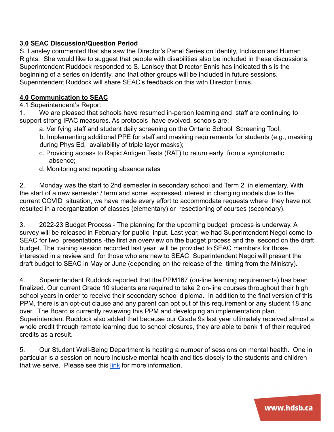# **3.0 SEAC Discussion/Question Period**

S. Lansley commented that she saw the Director's Panel Series on Identity, Inclusion and Human Rights. She would like to suggest that people with disabilities also be included in these discussions. Superintendent Ruddock responded to S. Lanlsey that Director Ennis has indicated this is the beginning of a series on identity, and that other groups will be included in future sessions. Superintendent Ruddock will share SEAC's feedback on this with Director Ennis.

## **4.0 Communication to SEAC**

## 4.1 Superintendent's Report

1. We are pleased that schools have resumed in-person learning and staff are continuing to support strong IPAC measures. As protocols have evolved, schools are:

a. Verifying staff and student daily screening on the Ontario School Screening Tool;

b. Implementing additional PPE for staff and masking requirements for students (e.g., masking during Phys Ed, availability of triple layer masks);

- c. Providing access to Rapid Antigen Tests (RAT) to return early from a symptomatic absence;
- d. Monitoring and reporting absence rates

2. Monday was the start to 2nd semester in secondary school and Term 2 in elementary. With the start of a new semester / term and some expressed interest in changing models due to the current COVID situation, we have made every effort to accommodate requests where they have not resulted in a reorganization of classes (elementary) or resectioning of courses (secondary).

3. 2022-23 Budget Process - The planning for the upcoming budget process is underway. A survey will be released in February for public input. Last year, we had Superintendent Negoi come to SEAC for two presentations -the first an overview on the budget process and the second on the draft budget. The training session recorded last year will be provided to SEAC members for those interested in a review and for those who are new to SEAC. Superintendent Negoi will present the draft budget to SEAC in May or June (depending on the release of the timing from the Ministry).

4. Superintendent Ruddock reported that the PPM167 (on-line learning requirements) has been finalized. Our current Grade 10 students are required to take 2 on-line courses throughout their high school years in order to receive their secondary school diploma. In addition to the final version of this PPM, there is an opt-out clause and any parent can opt out of this requirement or any student 18 and over. The Board is currently reviewing this PPM and developing an implementation plan. Superintendent Ruddock also added that because our Grade 9s last year ultimately received almost a whole credit through remote learning due to school closures, they are able to bank 1 of their required credits as a result.

5. Our Student Well-Being Department is hosting a number of sessions on mental health. One in particular is a session on neuro inclusive mental health and ties closely to the students and children that we serve. Please see this [link](https://hdsb.ca/students/Pages/Health%20and%20Well-Being/Mental%20Health%20&%20Well-Being/Mental-Health-Well-Being-Information-Sessions.aspx) for more information.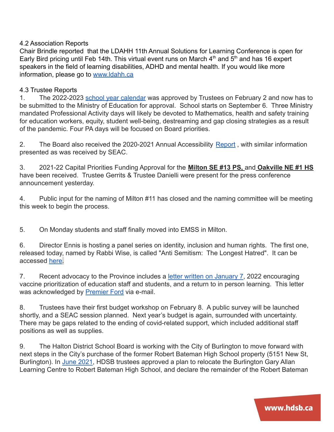## 4.2 Association Reports

Chair Brindle reported that the LDAHH 11th Annual Solutions for Learning Conference is open for Early Bird pricing until Feb 14th. This virtual event runs on March  $4<sup>th</sup>$  and  $5<sup>th</sup>$  and has 16 expert speakers in the field of learning disabilities, ADHD and mental health. If you would like more information, please go to [www.ldahh.ca](http://www.ldahh.ca/)

#### 4.3 Trustee Reports

1. The 2022-2023 [school year calendar](https://drive.google.com/file/d/1xmPg5aLnp49kj4UdOIVqR-V-QcbG0PbJ/view) was approved by Trustees on February 2 and now has to be submitted to the Ministry of Education for approval. School starts on September 6. Three Ministry mandated Professional Activity days will likely be devoted to Mathematics, health and safety training for education workers, equity, student well-being, destreaming and gap closing strategies as a result of the pandemic. Four PA days will be focused on Board priorities.

2. The Board also received the 2020-2021 Annual Accessibility [Report](https://drive.google.com/file/d/1TUpvZz7CxflXg7w3BKeyXiVnopxjneZI/view), with similar information presented as was received by SEAC.

3. 2021-22 Capital Priorities Funding Approval for the **Milton SE #13 PS,** and **Oakville NE #1 HS** have been received. Trustee Gerrits & Trustee Danielli were present for the press conference announcement yesterday.

4. Public input for the naming of Milton #11 has closed and the naming committee will be meeting this week to begin the process.

5. On Monday students and staff finally moved into EMSS in Milton.

6. Director Ennis is hosting a panel series on identity, inclusion and human rights. The first one, released today, named by Rabbi Wise, is called "Anti Semitism: The Longest Hatred". It can be accessed [here](https://www.youtube.com/watch?v=QLZEopCvDc4).

7. Recent advocacy to the Province includes a letter [written on January 7](https://drive.google.com/file/d/13mUX2-0e_LzHOO3hEEwObsaDHPi7MyEM/view), 2022 encouraging vaccine prioritization of education staff and students, and a return to in person learning. This letter was acknowledged by [Premier Ford](https://drive.google.com/file/d/1hmdLna2HAVjUcDC9BAHspu9SBc3WKyUR/view) via e-mail.

8. Trustees have their first budget workshop on February 8. A public survey will be launched shortly, and a SEAC session planned. Next year's budget is again, surrounded with uncertainty. There may be gaps related to the ending of covid-related support, which included additional staff positions as well as supplies.

9. The Halton District School Board is working with the City of Burlington to move forward with next steps in the City's purchase of the former Robert Bateman High School property (5151 New St, Burlington). In [June 2021](https://hdsb.ca/our-board/Pages/News/News-Description.aspx?NewsID=893), HDSB trustees approved a plan to relocate the Burlington Gary Allan Learning Centre to Robert Bateman High School, and declare the remainder of the Robert Bateman